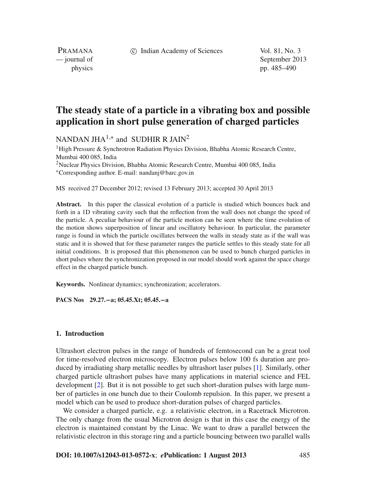c Indian Academy of Sciences Vol. 81, No. 3

PRAMANA

— journal of September 2013 physics pp. 485–490

# **The steady state of a particle in a vibrating box and possible application in short pulse generation of charged particles**

NANDAN JHA<sup>1,\*</sup> and SUDHIR R JAIN<sup>2</sup>

<sup>1</sup>High Pressure & Synchrotron Radiation Physics Division, Bhabha Atomic Research Centre, Mumbai 400 085, India <sup>2</sup>Nuclear Physics Division, Bhabha Atomic Research Centre, Mumbai 400 085, India

<sup>∗</sup>Corresponding author. E-mail: nandanj@barc.gov.in

MS received 27 December 2012; revised 13 February 2013; accepted 30 April 2013

**Abstract.** In this paper the classical evolution of a particle is studied which bounces back and forth in a 1D vibrating cavity such that the reflection from the wall does not change the speed of the particle. A peculiar behaviour of the particle motion can be seen where the time evolution of the motion shows superposition of linear and oscillatory behaviour. In particular, the parameter range is found in which the particle oscillates between the walls in steady state as if the wall was static and it is showed that for these parameter ranges the particle settles to this steady state for all initial conditions. It is proposed that this phenomenon can be used to bunch charged particles in short pulses where the synchronization proposed in our model should work against the space charge effect in the charged particle bunch.

**Keywords.** Nonlinear dynamics; synchronization; accelerators.

**PACS Nos 29.27.−a; 05.45.Xt; 05.45.−a**

## **1. Introduction**

Ultrashort electron pulses in the range of hundreds of femtosecond can be a great tool for time-resolved electron microscopy. Electron pulses below 100 fs duration are produced by irradiating sharp metallic needles by ultrashort laser pulses [\[1\]](#page-5-0). Similarly, other charged particle ultrashort pulses have many applications in material science and FEL development [\[2](#page-5-1)]. But it is not possible to get such short-duration pulses with large number of particles in one bunch due to their Coulomb repulsion. In this paper, we present a model which can be used to produce short-duration pulses of charged particles.

We consider a charged particle, e.g. a relativistic electron, in a Racetrack Microtron. The only change from the usual Microtron design is that in this case the energy of the electron is maintained constant by the Linac. We want to draw a parallel between the relativistic electron in this storage ring and a particle bouncing between two parallel walls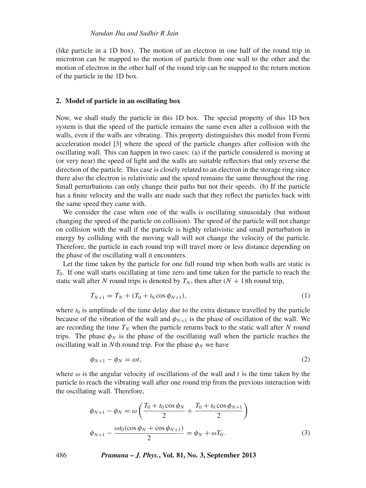(like particle in a 1D box). The motion of an electron in one half of the round trip in microtron can be mapped to the motion of particle from one wall to the other and the motion of electron in the other half of the round trip can be mapped to the return motion of the particle in the 1D box.

#### **2. Model of particle in an oscillating box**

Now, we shall study the particle in this 1D box. The special property of this 1D box system is that the speed of the particle remains the same even after a collision with the walls, even if the walls are vibrating. This property distinguishes this model from Fermi acceleration model [\[3](#page-5-2)] where the speed of the particle changes after collision with the oscillating wall. This can happen in two cases: (a) if the particle considered is moving at (or very near) the speed of light and the walls are suitable reflectors that only reverse the direction of the particle. This case is closely related to an electron in the storage ring since there also the electron is relativistic and the speed remains the same throughout the ring. Small perturbations can only change their paths but not their speeds. (b) If the particle has a finite velocity and the walls are made such that they reflect the particles back with the same speed they came with.

We consider the case when one of the walls is oscillating sinusoidaly (but without changing the speed of the particle on collision). The speed of the particle will not change on collision with the wall if the particle is highly relativistic and small perturbation in energy by colliding with the moving wall will not change the velocity of the particle. Therefore, the particle in each round trip will travel more or less distance depending on the phase of the oscillating wall it encounters.

Let the time taken by the particle for one full round trip when both walls are static is *T*0. If one wall starts oscillating at time zero and time taken for the particle to reach the static wall after *N* round trips is denoted by  $T_N$ , then after  $(N + 1)$ th round trip,

<span id="page-1-0"></span>
$$
T_{N+1} = T_N + (T_0 + t_0 \cos \phi_{N+1}),
$$
\n(1)

where  $t_0$  is amplitude of the time delay due to the extra distance travelled by the particle because of the vibration of the wall and  $\phi_{N+1}$  is the phase of oscillation of the wall. We are recording the time  $T_N$  when the particle returns back to the static wall after N round trips. The phase  $\phi_N$  is the phase of the oscillating wall when the particle reaches the oscillating wall in *N*th round trip. For the phase  $\phi_N$  we have

$$
\phi_{N+1} - \phi_N = \omega t,\tag{2}
$$

where  $\omega$  is the angular velocity of oscillations of the wall and *t* is the time taken by the particle to reach the vibrating wall after one round trip from the previous interaction with the oscillating wall. Therefore,

<span id="page-1-1"></span>
$$
\phi_{N+1} - \phi_N = \omega \left( \frac{T_0 + t_0 \cos \phi_N}{2} + \frac{T_0 + t_0 \cos \phi_{N+1}}{2} \right)
$$
  

$$
\phi_{N+1} - \frac{\omega t_0 (\cos \phi_N + \cos \phi_{N+1})}{2} = \phi_N + \omega T_0.
$$
 (3)

486 *Pramana – J. Phys.***, Vol. 81, No. 3, September 2013**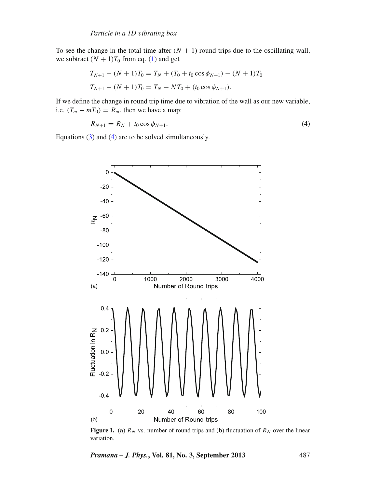To see the change in the total time after  $(N + 1)$  round trips due to the oscillating wall, we subtract  $(N + 1)T_0$  from eq. [\(1\)](#page-1-0) and get

$$
T_{N+1} - (N+1)T_0 = T_N + (T_0 + t_0 \cos \phi_{N+1}) - (N+1)T_0
$$
  

$$
T_{N+1} - (N+1)T_0 = T_N - NT_0 + (t_0 \cos \phi_{N+1}).
$$

If we define the change in round trip time due to vibration of the wall as our new variable, i.e.  $(T_m - mT_0) = R_m$ , then we have a map:

<span id="page-2-0"></span>
$$
R_{N+1} = R_N + t_0 \cos \phi_{N+1}.
$$
\n(4)

<span id="page-2-1"></span>Equations [\(3\)](#page-1-1) and [\(4\)](#page-2-0) are to be solved simultaneously.



**Figure 1.** (a)  $R_N$  vs. number of round trips and (b) fluctuation of  $R_N$  over the linear variation.

*Pramana – J. Phys.***, Vol. 81, No. 3, September 2013** 487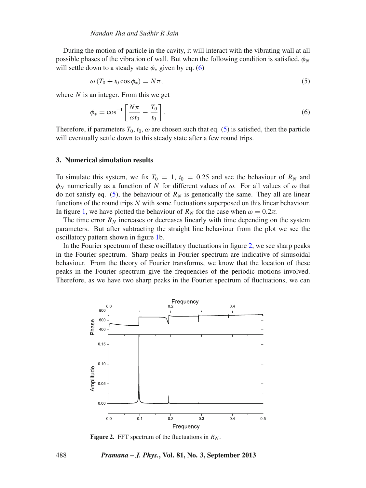During the motion of particle in the cavity, it will interact with the vibrating wall at all possible phases of the vibration of wall. But when the following condition is satisfied,  $\phi_N$ will settle down to a steady state  $\phi_*$  given by eq. [\(6\)](#page-3-0)

<span id="page-3-1"></span><span id="page-3-0"></span>
$$
\omega (T_0 + t_0 \cos \phi_*) = N\pi, \tag{5}
$$

where *N* is an integer. From this we get

$$
\phi_* = \cos^{-1} \left[ \frac{N\pi}{\omega t_0} - \frac{T_0}{t_0} \right]. \tag{6}
$$

Therefore, if parameters  $T_0$ ,  $t_0$ ,  $\omega$  are chosen such that eq. [\(5\)](#page-3-1) is satisfied, then the particle will eventually settle down to this steady state after a few round trips.

#### **3. Numerical simulation results**

To simulate this system, we fix  $T_0 = 1$ ,  $t_0 = 0.25$  and see the behaviour of  $R_N$  and  $\phi_N$  numerically as a function of *N* for different values of  $\omega$ . For all values of  $\omega$  that do not satisfy eq. [\(5\)](#page-3-1), the behaviour of  $R_N$  is generically the same. They all are linear functions of the round trips *N* with some fluctuations superposed on this linear behaviour. In figure [1,](#page-2-1) we have plotted the behaviour of  $R_N$  for the case when  $\omega = 0.2\pi$ .

The time error  $R_N$  increases or decreases linearly with time depending on the system parameters. But after subtracting the straight line behaviour from the plot we see the oscillatory pattern shown in figure [1b](#page-2-1).

In the Fourier spectrum of these oscillatory fluctuations in figure [2,](#page-3-2) we see sharp peaks in the Fourier spectrum. Sharp peaks in Fourier spectrum are indicative of sinusoidal behaviour. From the theory of Fourier transforms, we know that the location of these peaks in the Fourier spectrum give the frequencies of the periodic motions involved. Therefore, as we have two sharp peaks in the Fourier spectrum of fluctuations, we can

<span id="page-3-2"></span>

**Figure 2.** FFT spectrum of the fluctuations in  $R_N$ .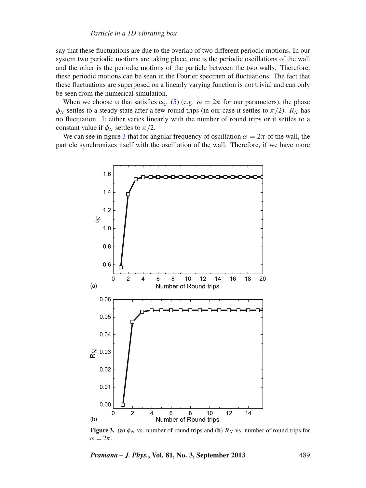### *Particle in a 1D* v*ibrating box*

say that these fluctuations are due to the overlap of two different periodic motions. In our system two periodic motions are taking place, one is the periodic oscillations of the wall and the other is the periodic motions of the particle between the two walls. Therefore, these periodic motions can be seen in the Fourier spectrum of fluctuations. The fact that these fluctuations are superposed on a linearly varying function is not trivial and can only be seen from the numerical simulation.

When we choose  $\omega$  that satisfies eq. [\(5\)](#page-3-1) (e.g.  $\omega = 2\pi$  for our parameters), the phase  $\phi_N$  settles to a steady state after a few round trips (in our case it settles to  $\pi/2$ ).  $R_N$  has no fluctuation. It either varies linearly with the number of round trips or it settles to a constant value if  $\phi_N$  settles to  $\pi/2$ .

<span id="page-4-0"></span>We can see in figure [3](#page-4-0) that for angular frequency of oscillation  $\omega = 2\pi$  of the wall, the particle synchronizes itself with the oscillation of the wall. Therefore, if we have more



**Figure 3.** (a)  $\phi_N$  vs. number of round trips and (b)  $R_N$  vs. number of round trips for  $\omega = 2\pi$ .

*Pramana – J. Phys.***, Vol. 81, No. 3, September 2013** 489